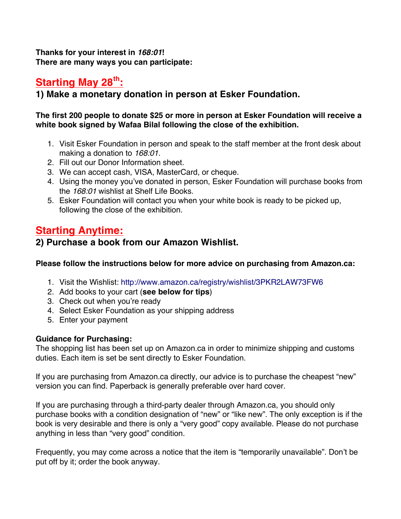**Thanks for your interest in** *168:01***! There are many ways you can participate:**

# **Starting May 28th:**

## **1) Make a monetary donation in person at Esker Foundation.**

### **The first 200 people to donate \$25 or more in person at Esker Foundation will receive a white book signed by Wafaa Bilal following the close of the exhibition.**

- 1. Visit Esker Foundation in person and speak to the staff member at the front desk about making a donation to *168:01*.
- 2. Fill out our Donor Information sheet.
- 3. We can accept cash, VISA, MasterCard, or cheque.
- 4. Using the money you've donated in person, Esker Foundation will purchase books from the *168:01* wishlist at Shelf Life Books.
- 5. Esker Foundation will contact you when your white book is ready to be picked up, following the close of the exhibition.

## **Starting Anytime:**

## **2) Purchase a book from our Amazon Wishlist.**

**Please follow the instructions below for more advice on purchasing from Amazon.ca:**

- 1. Visit the Wishlist: http://www.amazon.ca/registry/wishlist/3PKR2LAW73FW6
- 2. Add books to your cart (**see below for tips**)
- 3. Check out when you're ready
- 4. Select Esker Foundation as your shipping address
- 5. Enter your payment

#### **Guidance for Purchasing:**

The shopping list has been set up on Amazon.ca in order to minimize shipping and customs duties. Each item is set be sent directly to Esker Foundation.

If you are purchasing from Amazon.ca directly, our advice is to purchase the cheapest "new" version you can find. Paperback is generally preferable over hard cover.

If you are purchasing through a third-party dealer through Amazon.ca, you should only purchase books with a condition designation of "new" or "like new". The only exception is if the book is very desirable and there is only a "very good" copy available. Please do not purchase anything in less than "very good" condition.

Frequently, you may come across a notice that the item is "temporarily unavailable". Don't be put off by it; order the book anyway.